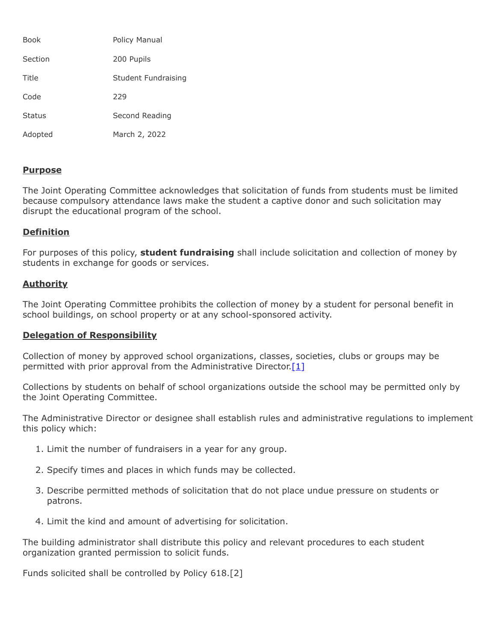| <b>Book</b>   | Policy Manual       |
|---------------|---------------------|
| Section       | 200 Pupils          |
| Title         | Student Fundraising |
| Code          | 229                 |
| <b>Status</b> | Second Reading      |
| Adopted       | March 2, 2022       |

## **Purpose**

The Joint Operating Committee acknowledges that solicitation of funds from students must be limited because compulsory attendance laws make the student a captive donor and such solicitation may disrupt the educational program of the school.

## **Definition**

For purposes of this policy, **student fundraising** shall include solicitation and collection of money by students in exchange for goods or services.

## **Authority**

The Joint Operating Committee prohibits the collection of money by a student for personal benefit in school buildings, on school property or at any school-sponsored activity.

## **Delegation of Responsibility**

Collection of money by approved school organizations, classes, societies, clubs or groups may be permitted with prior approval from the Administrative Director. [\[1\]](http://www.legis.state.pa.us/cfdocs/legis/LI/uconsCheck.cfm?txtType=HTM&yr=1949&sessInd=0&smthLwInd=0&act=14&chpt=5&sctn=11&subsctn=0)

Collections by students on behalf of school organizations outside the school may be permitted only by the Joint Operating Committee.

The Administrative Director or designee shall establish rules and administrative regulations to implement this policy which:

- 1. Limit the number of fundraisers in a year for any group.
- 2. Specify times and places in which funds may be collected.
- 3. Describe permitted methods of solicitation that do not place undue pressure on students or patrons.
- 4. Limit the kind and amount of advertising for solicitation.

The building administrator shall distribute this policy and relevant procedures to each student organization granted permission to solicit funds.

Funds solicited shall be controlled by Policy 618.[2]